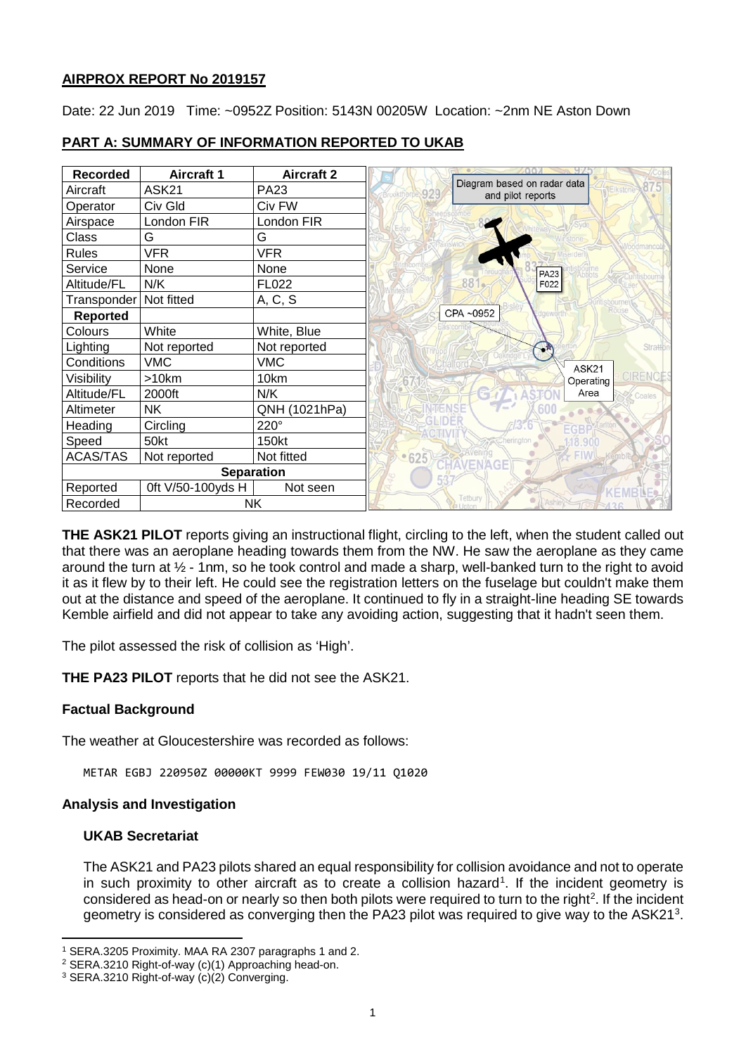### **AIRPROX REPORT No 2019157**

Date: 22 Jun 2019 Time: ~0952Z Position: 5143N 00205W Location: ~2nm NE Aston Down

| <b>Recorded</b>          | <b>Aircraft 1</b> | <b>Aircraft 2</b> | uv.                                                                        |
|--------------------------|-------------------|-------------------|----------------------------------------------------------------------------|
| Aircraft                 | ASK21             | <b>PA23</b>       | Diagram based on radar data<br><b>Elkstone</b><br>929<br>and pilot reports |
| Operator                 | Civ Gld           | Civ FW            |                                                                            |
| Airspace                 | London FIR        | London FIR        |                                                                            |
| Class                    | G                 | G                 |                                                                            |
| <b>Rules</b>             | <b>VFR</b>        | VFR               |                                                                            |
| Service                  | None              | None              | <b>PA23</b>                                                                |
| Altitude/FL              | N/K               | FL022             | 881.<br>F022                                                               |
| Transponder   Not fitted |                   | A, C, S           |                                                                            |
| <b>Reported</b>          |                   |                   | CPA~0952                                                                   |
| Colours                  | White             | White, Blue       |                                                                            |
| Lighting                 | Not reported      | Not reported      | Strattor                                                                   |
| Conditions               | <b>VMC</b>        | <b>VMC</b>        | ASK21                                                                      |
| Visibility               | >10km             | 10km              | CIRENCES<br>Operating                                                      |
| Altitude/FL              | 2000ft            | N/K               | Area<br>Coales                                                             |
| Altimeter                | <b>NK</b>         | QNH (1021hPa)     |                                                                            |
| Heading                  | Circling          | 220°              |                                                                            |
| Speed                    | 50kt              | 150kt             | herington                                                                  |
| <b>ACAS/TAS</b>          | Not reported      | Not fitted        | $-625$                                                                     |
| <b>Separation</b>        |                   |                   | GE                                                                         |
| Reported                 | 0ft V/50-100yds H | Not seen          |                                                                            |
| <b>NK</b><br>Recorded    |                   |                   | Tetbury                                                                    |

# **PART A: SUMMARY OF INFORMATION REPORTED TO UKAB**

**THE ASK21 PILOT** reports giving an instructional flight, circling to the left, when the student called out that there was an aeroplane heading towards them from the NW. He saw the aeroplane as they came around the turn at ½ - 1nm, so he took control and made a sharp, well-banked turn to the right to avoid it as it flew by to their left. He could see the registration letters on the fuselage but couldn't make them out at the distance and speed of the aeroplane. It continued to fly in a straight-line heading SE towards Kemble airfield and did not appear to take any avoiding action, suggesting that it hadn't seen them.

The pilot assessed the risk of collision as 'High'.

**THE PA23 PILOT** reports that he did not see the ASK21.

### **Factual Background**

The weather at Gloucestershire was recorded as follows:

METAR EGBJ 220950Z 00000KT 9999 FEW030 19/11 Q1020

### **Analysis and Investigation**

### **UKAB Secretariat**

l

The ASK21 and PA23 pilots shared an equal responsibility for collision avoidance and not to operate in such proximity to other aircraft as to create a collision hazard<sup>[1](#page-0-0)</sup>. If the incident geometry is considered as head-on or nearly so then both pilots were required to turn to the right<sup>[2](#page-0-1)</sup>. If the incident geometry is considered as converging then the PA2[3](#page-0-2) pilot was required to give way to the ASK21<sup>3</sup>.

<span id="page-0-0"></span><sup>1</sup> SERA.3205 Proximity. MAA RA 2307 paragraphs 1 and 2.

<span id="page-0-1"></span><sup>&</sup>lt;sup>2</sup> SERA.3210 Right-of-way (c)(1) Approaching head-on.<br><sup>3</sup> SERA.3210 Right-of-way (c)(2) Converging.

<span id="page-0-2"></span>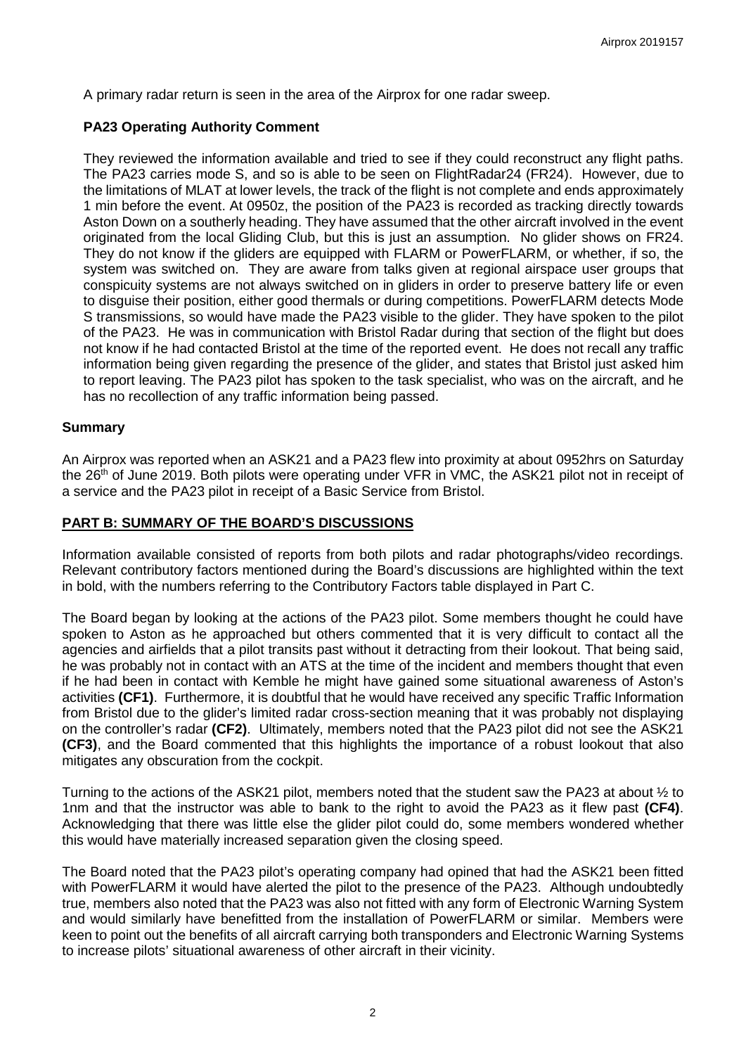A primary radar return is seen in the area of the Airprox for one radar sweep.

### **PA23 Operating Authority Comment**

They reviewed the information available and tried to see if they could reconstruct any flight paths. The PA23 carries mode S, and so is able to be seen on FlightRadar24 (FR24). However, due to the limitations of MLAT at lower levels, the track of the flight is not complete and ends approximately 1 min before the event. At 0950z, the position of the PA23 is recorded as tracking directly towards Aston Down on a southerly heading. They have assumed that the other aircraft involved in the event originated from the local Gliding Club, but this is just an assumption. No glider shows on FR24. They do not know if the gliders are equipped with FLARM or PowerFLARM, or whether, if so, the system was switched on. They are aware from talks given at regional airspace user groups that conspicuity systems are not always switched on in gliders in order to preserve battery life or even to disguise their position, either good thermals or during competitions. PowerFLARM detects Mode S transmissions, so would have made the PA23 visible to the glider. They have spoken to the pilot of the PA23. He was in communication with Bristol Radar during that section of the flight but does not know if he had contacted Bristol at the time of the reported event. He does not recall any traffic information being given regarding the presence of the glider, and states that Bristol just asked him to report leaving. The PA23 pilot has spoken to the task specialist, who was on the aircraft, and he has no recollection of any traffic information being passed.

### **Summary**

An Airprox was reported when an ASK21 and a PA23 flew into proximity at about 0952hrs on Saturday the 26<sup>th</sup> of June 2019. Both pilots were operating under VFR in VMC, the ASK21 pilot not in receipt of a service and the PA23 pilot in receipt of a Basic Service from Bristol.

### **PART B: SUMMARY OF THE BOARD'S DISCUSSIONS**

Information available consisted of reports from both pilots and radar photographs/video recordings. Relevant contributory factors mentioned during the Board's discussions are highlighted within the text in bold, with the numbers referring to the Contributory Factors table displayed in Part C.

The Board began by looking at the actions of the PA23 pilot. Some members thought he could have spoken to Aston as he approached but others commented that it is very difficult to contact all the agencies and airfields that a pilot transits past without it detracting from their lookout. That being said, he was probably not in contact with an ATS at the time of the incident and members thought that even if he had been in contact with Kemble he might have gained some situational awareness of Aston's activities **(CF1)**. Furthermore, it is doubtful that he would have received any specific Traffic Information from Bristol due to the glider's limited radar cross-section meaning that it was probably not displaying on the controller's radar **(CF2)**. Ultimately, members noted that the PA23 pilot did not see the ASK21 **(CF3)**, and the Board commented that this highlights the importance of a robust lookout that also mitigates any obscuration from the cockpit.

Turning to the actions of the ASK21 pilot, members noted that the student saw the PA23 at about ½ to 1nm and that the instructor was able to bank to the right to avoid the PA23 as it flew past **(CF4)**. Acknowledging that there was little else the glider pilot could do, some members wondered whether this would have materially increased separation given the closing speed.

The Board noted that the PA23 pilot's operating company had opined that had the ASK21 been fitted with PowerFLARM it would have alerted the pilot to the presence of the PA23. Although undoubtedly true, members also noted that the PA23 was also not fitted with any form of Electronic Warning System and would similarly have benefitted from the installation of PowerFLARM or similar. Members were keen to point out the benefits of all aircraft carrying both transponders and Electronic Warning Systems to increase pilots' situational awareness of other aircraft in their vicinity.